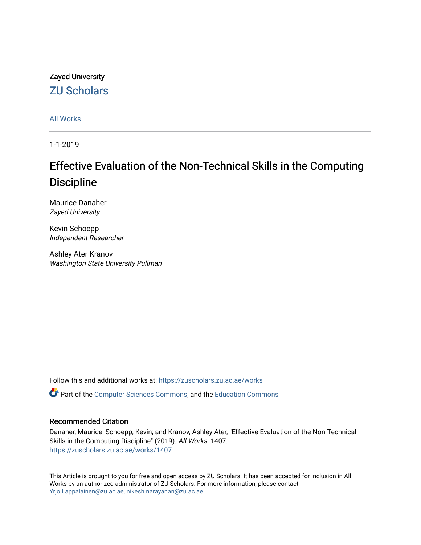# Zayed University [ZU Scholars](https://zuscholars.zu.ac.ae/)

[All Works](https://zuscholars.zu.ac.ae/works)

1-1-2019

# Effective Evaluation of the Non-Technical Skills in the Computing **Discipline**

Maurice Danaher Zayed University

Kevin Schoepp Independent Researcher

Ashley Ater Kranov Washington State University Pullman

Follow this and additional works at: [https://zuscholars.zu.ac.ae/works](https://zuscholars.zu.ac.ae/works?utm_source=zuscholars.zu.ac.ae%2Fworks%2F1407&utm_medium=PDF&utm_campaign=PDFCoverPages)

Part of the [Computer Sciences Commons](http://network.bepress.com/hgg/discipline/142?utm_source=zuscholars.zu.ac.ae%2Fworks%2F1407&utm_medium=PDF&utm_campaign=PDFCoverPages), and the [Education Commons](http://network.bepress.com/hgg/discipline/784?utm_source=zuscholars.zu.ac.ae%2Fworks%2F1407&utm_medium=PDF&utm_campaign=PDFCoverPages)

#### Recommended Citation

Danaher, Maurice; Schoepp, Kevin; and Kranov, Ashley Ater, "Effective Evaluation of the Non-Technical Skills in the Computing Discipline" (2019). All Works. 1407. [https://zuscholars.zu.ac.ae/works/1407](https://zuscholars.zu.ac.ae/works/1407?utm_source=zuscholars.zu.ac.ae%2Fworks%2F1407&utm_medium=PDF&utm_campaign=PDFCoverPages)

This Article is brought to you for free and open access by ZU Scholars. It has been accepted for inclusion in All Works by an authorized administrator of ZU Scholars. For more information, please contact [Yrjo.Lappalainen@zu.ac.ae, nikesh.narayanan@zu.ac.ae](mailto:Yrjo.Lappalainen@zu.ac.ae,%20nikesh.narayanan@zu.ac.ae).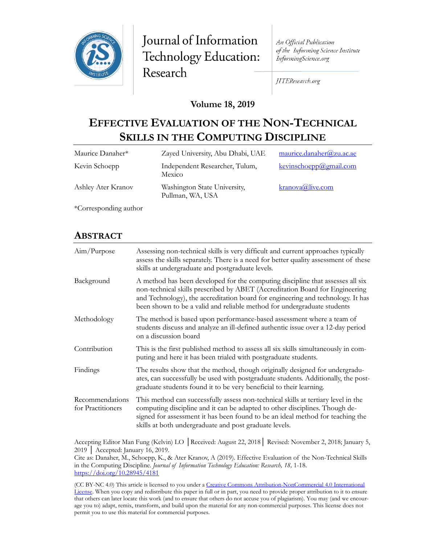

Journal of Information Technology Education: Research

An Official Publication of the Informing Science Institute InformingScience.org

JITEResearch.org

#### **Volume 18, 2019**

# **EFFECTIVE EVALUATION OF THE NON-TECHNICAL SKILLS IN THE COMPUTING DISCIPLINE**

| Maurice Danaher*      | Zayed University, Abu Dhabi, UAE                 | maurice.danaher@zu.ac.ae |
|-----------------------|--------------------------------------------------|--------------------------|
| Kevin Schoepp         | Independent Researcher, Tulum,<br>Mexico         | kevinschoepp@gmail.com   |
| Ashley Ater Kranov    | Washington State University,<br>Pullman, WA, USA | $k$ ranova@live.com      |
| *Corresponding author |                                                  |                          |

#### **ABSTRACT**

| Aim/Purpose                          | Assessing non-technical skills is very difficult and current approaches typically<br>assess the skills separately. There is a need for better quality assessment of these<br>skills at undergraduate and postgraduate levels.                                                                                                |
|--------------------------------------|------------------------------------------------------------------------------------------------------------------------------------------------------------------------------------------------------------------------------------------------------------------------------------------------------------------------------|
| Background                           | A method has been developed for the computing discipline that assesses all six<br>non-technical skills prescribed by ABET (Accreditation Board for Engineering<br>and Technology), the accreditation board for engineering and technology. It has<br>been shown to be a valid and reliable method for undergraduate students |
| Methodology                          | The method is based upon performance-based assessment where a team of<br>students discuss and analyze an ill-defined authentic issue over a 12-day period<br>on a discussion board                                                                                                                                           |
| Contribution                         | This is the first published method to assess all six skills simultaneously in com-<br>puting and here it has been trialed with postgraduate students.                                                                                                                                                                        |
| Findings                             | The results show that the method, though originally designed for undergradu-<br>ates, can successfully be used with postgraduate students. Additionally, the post-<br>graduate students found it to be very beneficial to their learning.                                                                                    |
| Recommendations<br>for Practitioners | This method can successfully assess non-technical skills at tertiary level in the<br>computing discipline and it can be adapted to other disciplines. Though de-<br>signed for assessment it has been found to be an ideal method for teaching the<br>skills at both undergraduate and post graduate levels.                 |

Accepting Editor Man Fung (Kelvin) LO │Received: August 22, 2018│ Revised: November 2, 2018; January 5, 2019 │ Accepted: January 16, 2019.

Cite as: Danaher, M., Schoepp, K., & Ater Kranov, A (2019). Effective Evaluation of the Non-Technical Skills in the Computing Discipline. *Journal of Information Technology Education: Research, 18,* 1-18. <https://doi.org/10.28945/4181>

(CC BY-NC 4.0) This article is licensed to you under a Creative Commons Attribution-[NonCommercial 4.0 International](https://creativecommons.org/licenses/by-nc/4.0/)  [License.](https://creativecommons.org/licenses/by-nc/4.0/) When you copy and redistribute this paper in full or in part, you need to provide proper attribution to it to ensure that others can later locate this work (and to ensure that others do not accuse you of plagiarism). You may (and we encourage you to) adapt, remix, transform, and build upon the material for any non-commercial purposes. This license does not permit you to use this material for commercial purposes.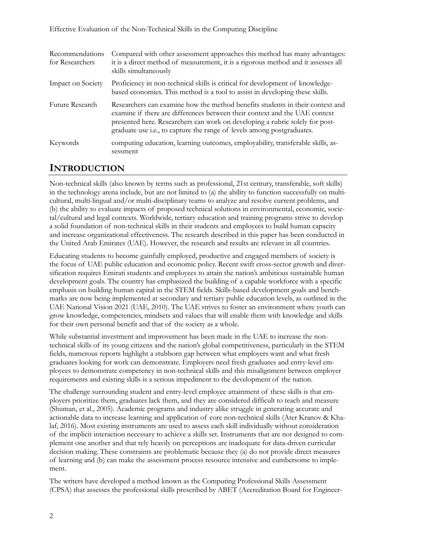| Recommendations<br>for Researchers | Compared with other assessment approaches this method has many advantages:<br>it is a direct method of measurement, it is a rigorous method and it assesses all<br>skills simultaneously                                                                                                                              |
|------------------------------------|-----------------------------------------------------------------------------------------------------------------------------------------------------------------------------------------------------------------------------------------------------------------------------------------------------------------------|
| Impact on Society                  | Proficiency in non-technical skills is critical for development of knowledge-<br>based economies. This method is a tool to assist in developing these skills.                                                                                                                                                         |
| Future Research                    | Researchers can examine how the method benefits students in their context and<br>examine if there are differences between their context and the UAE context<br>presented here. Researchers can work on developing a rubric solely for post-<br>graduate use i.e., to capture the range of levels among postgraduates. |
| Keywords                           | computing education, learning outcomes, employability, transferable skills, as-<br>sessment                                                                                                                                                                                                                           |

#### **INTRODUCTION**

Non-technical skills (also known by terms such as professional, 21st century, transferable, soft skills) in the technology arena include, but are not limited to (a) the ability to function successfully on multicultural, multi-lingual and/or multi-disciplinary teams to analyze and resolve current problems, and (b) the ability to evaluate impacts of proposed technical solutions in environmental, economic, societal/cultural and legal contexts. Worldwide, tertiary education and training programs strive to develop a solid foundation of non-technical skills in their students and employees to build human capacity and increase organizational effectiveness. The research described in this paper has been conducted in the United Arab Emirates (UAE). However, the research and results are relevant in all countries.

Educating students to become gainfully employed, productive and engaged members of society is the focus of UAE public education and economic policy. Recent swift cross-sector growth and diversification requires Emirati students and employees to attain the nation's ambitious sustainable human development goals. The country has emphasized the building of a capable workforce with a specific emphasis on building human capital in the STEM fields. Skills-based development goals and benchmarks are now being implemented at secondary and tertiary public education levels, as outlined in the UAE National Vision 2021 (UAE, 2010). The UAE strives to foster an environment where youth can grow knowledge, competencies, mindsets and values that will enable them with knowledge and skills for their own personal benefit and that of the society as a whole.

While substantial investment and improvement has been made in the UAE to increase the nontechnical skills of its young citizens and the nation's global competitiveness, particularly in the STEM fields, numerous reports highlight a stubborn gap between what employers want and what fresh graduates looking for work can demonstrate. Employers need fresh graduates and entry-level employees to demonstrate competency in non-technical skills and this misalignment between employer requirements and existing skills is a serious impediment to the development of the nation.

The challenge surrounding student and entry-level employee attainment of these skills is that employers prioritize them, graduates lack them, and they are considered difficult to teach and measure (Shuman, et al., 2005). Academic programs and industry alike struggle in generating accurate and actionable data to increase learning and application of core non-technical skills (Ater Kranov & Khalaf, 2016). Most existing instruments are used to assess each skill individually without consideration of the implicit interaction necessary to achieve a skills set. Instruments that are not designed to complement one another and that rely heavily on perceptions are inadequate for data-driven curricular decision making. These constraints are problematic because they (a) do not provide direct measures of learning and (b) can make the assessment process resource intensive and cumbersome to implement.

The writers have developed a method known as the Computing Professional Skills Assessment (CPSA) that assesses the professional skills prescribed by ABET (Accreditation Board for Engineer-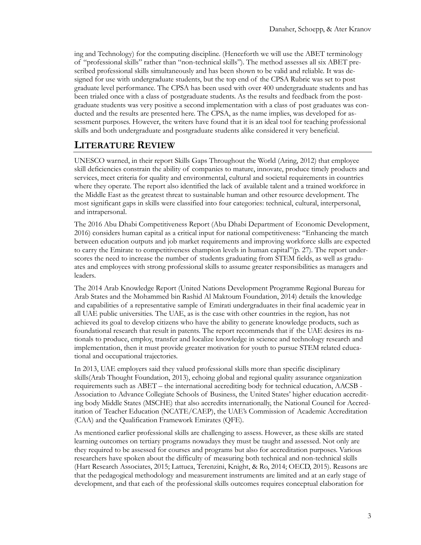ing and Technology) for the computing discipline. (Henceforth we will use the ABET terminology of "professional skills" rather than "non-technical skills"). The method assesses all six ABET prescribed professional skills simultaneously and has been shown to be valid and reliable. It was designed for use with undergraduate students, but the top end of the CPSA Rubric was set to post graduate level performance. The CPSA has been used with over 400 undergraduate students and has been trialed once with a class of postgraduate students. As the results and feedback from the postgraduate students was very positive a second implementation with a class of post graduates was conducted and the results are presented here. The CPSA, as the name implies, was developed for assessment purposes. However, the writers have found that it is an ideal tool for teaching professional skills and both undergraduate and postgraduate students alike considered it very beneficial.

# **LITERATURE REVIEW**

UNESCO warned, in their report Skills Gaps Throughout the World (Aring, 2012) that employee skill deficiencies constrain the ability of companies to mature, innovate, produce timely products and services, meet criteria for quality and environmental, cultural and societal requirements in countries where they operate. The report also identified the lack of available talent and a trained workforce in the Middle East as the greatest threat to sustainable human and other resource development. The most significant gaps in skills were classified into four categories: technical, cultural, interpersonal, and intrapersonal.

The 2016 Abu Dhabi Competitiveness Report (Abu Dhabi Department of Economic Development, 2016) considers human capital as a critical input for national competitiveness: "Enhancing the match between education outputs and job market requirements and improving workforce skills are expected to carry the Emirate to competitiveness champion levels in human capital"(p. 27). The report underscores the need to increase the number of students graduating from STEM fields, as well as graduates and employees with strong professional skills to assume greater responsibilities as managers and leaders.

The 2014 Arab Knowledge Report (United Nations Development Programme Regional Bureau for Arab States and the Mohammed bin Rashid Al Maktoum Foundation, 2014) details the knowledge and capabilities of a representative sample of Emirati undergraduates in their final academic year in all UAE public universities. The UAE, as is the case with other countries in the region, has not achieved its goal to develop citizens who have the ability to generate knowledge products, such as foundational research that result in patents. The report recommends that if the UAE desires its nationals to produce, employ, transfer and localize knowledge in science and technology research and implementation, then it must provide greater motivation for youth to pursue STEM related educational and occupational trajectories.

In 2013, UAE employers said they valued professional skills more than specific disciplinary skills(Arab Thought Foundation, 2013), echoing global and regional quality assurance organization requirements such as ABET – the international accrediting body for technical education, AACSB - Association to Advance Collegiate Schools of Business, the United States' higher education accrediting body Middle States (MSCHE) that also accredits internationally, the National Council for Accreditation of Teacher Education (NCATE/CAEP), the UAE's Commission of Academic Accreditation (CAA) and the Qualification Framework Emirates (QFE).

As mentioned earlier professional skills are challenging to assess. However, as these skills are stated learning outcomes on tertiary programs nowadays they must be taught and assessed. Not only are they required to be assessed for courses and programs but also for accreditation purposes. Various researchers have spoken about the difficulty of measuring both technical and non-technical skills (Hart Research Associates, 2015; Lattuca, Terenzini, Knight, & Ro, 2014; OECD, 2015). Reasons are that the pedagogical methodology and measurement instruments are limited and at an early stage of development, and that each of the professional skills outcomes requires conceptual elaboration for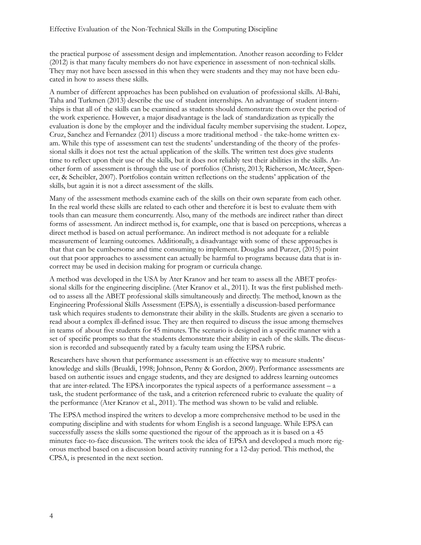the practical purpose of assessment design and implementation. Another reason according to Felder (2012) is that many faculty members do not have experience in assessment of non-technical skills. They may not have been assessed in this when they were students and they may not have been educated in how to assess these skills.

A number of different approaches has been published on evaluation of professional skills. Al-Bahi, Taha and Turkmen (2013) describe the use of student internships. An advantage of student internships is that all of the skills can be examined as students should demonstrate them over the period of the work experience. However, a major disadvantage is the lack of standardization as typically the evaluation is done by the employer and the individual faculty member supervising the student. Lopez, Cruz, Sanchez and Fernandez (2011) discuss a more traditional method - the take-home written exam. While this type of assessment can test the students' understanding of the theory of the professional skills it does not test the actual application of the skills. The written test does give students time to reflect upon their use of the skills, but it does not reliably test their abilities in the skills. Another form of assessment is through the use of portfolios (Christy, 2013; Richerson, McAteer, Spencer, & Scheibler, 2007). Portfolios contain written reflections on the students' application of the skills, but again it is not a direct assessment of the skills.

Many of the assessment methods examine each of the skills on their own separate from each other. In the real world these skills are related to each other and therefore it is best to evaluate them with tools than can measure them concurrently. Also, many of the methods are indirect rather than direct forms of assessment. An indirect method is, for example, one that is based on perceptions, whereas a direct method is based on actual performance. An indirect method is not adequate for a reliable measurement of learning outcomes. Additionally, a disadvantage with some of these approaches is that that can be cumbersome and time consuming to implement. Douglas and Purzer, (2015) point out that poor approaches to assessment can actually be harmful to programs because data that is incorrect may be used in decision making for program or curricula change.

A method was developed in the USA by Ater Kranov and her team to assess all the ABET professional skills for the engineering discipline. (Ater Kranov et al., 2011). It was the first published method to assess all the ABET professional skills simultaneously and directly. The method, known as the Engineering Professional Skills Assessment (EPSA), is essentially a discussion-based performance task which requires students to demonstrate their ability in the skills. Students are given a scenario to read about a complex ill-defined issue. They are then required to discuss the issue among themselves in teams of about five students for 45 minutes. The scenario is designed in a specific manner with a set of specific prompts so that the students demonstrate their ability in each of the skills. The discussion is recorded and subsequently rated by a faculty team using the EPSA rubric.

Researchers have shown that performance assessment is an effective way to measure students' knowledge and skills (Brualdi, 1998; Johnson, Penny & Gordon, 2009). Performance assessments are based on authentic issues and engage students, and they are designed to address learning outcomes that are inter-related. The EPSA incorporates the typical aspects of a performance assessment – a task, the student performance of the task, and a criterion referenced rubric to evaluate the quality of the performance (Ater Kranov et al., 2011). The method was shown to be valid and reliable.

The EPSA method inspired the writers to develop a more comprehensive method to be used in the computing discipline and with students for whom English is a second language. While EPSA can successfully assess the skills some questioned the rigour of the approach as it is based on a 45 minutes face-to-face discussion. The writers took the idea of EPSA and developed a much more rigorous method based on a discussion board activity running for a 12-day period. This method, the CPSA, is presented in the next section.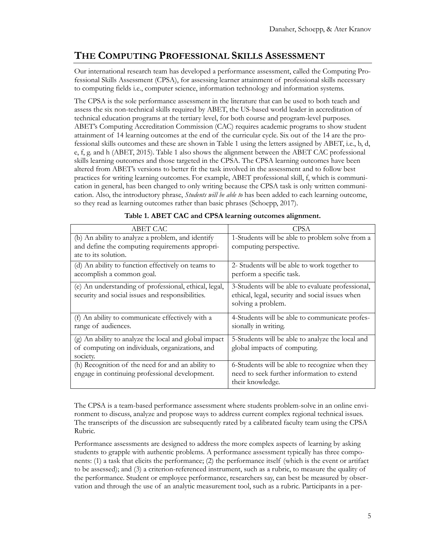# **THE COMPUTING PROFESSIONAL SKILLS ASSESSMENT**

Our international research team has developed a performance assessment, called the Computing Professional Skills Assessment (CPSA), for assessing learner attainment of professional skills necessary to computing fields i.e., computer science, information technology and information systems.

The CPSA is the sole performance assessment in the literature that can be used to both teach and assess the six non-technical skills required by ABET, the US-based world leader in accreditation of technical education programs at the tertiary level, for both course and program-level purposes. ABET's Computing Accreditation Commission (CAC) requires academic programs to show student attainment of 14 learning outcomes at the end of the curricular cycle. Six out of the 14 are the professional skills outcomes and these are shown in Table 1 using the letters assigned by ABET, i.e., b, d, e, f, g. and h (ABET, 2015). Table 1 also shows the alignment between the ABET CAC professional skills learning outcomes and those targeted in the CPSA. The CPSA learning outcomes have been altered from ABET's versions to better fit the task involved in the assessment and to follow best practices for writing learning outcomes. For example, ABET professional skill, f, which is communication in general, has been changed to only writing because the CPSA task is only written communication. Also, the introductory phrase, *Students will be able to* has been added to each learning outcome, so they read as learning outcomes rather than basic phrases (Schoepp, 2017).

| ABET CAC                                              | <b>CPSA</b>                                       |
|-------------------------------------------------------|---------------------------------------------------|
| (b) An ability to analyze a problem, and identify     | 1-Students will be able to problem solve from a   |
| and define the computing requirements appropri-       | computing perspective.                            |
| ate to its solution.                                  |                                                   |
| (d) An ability to function effectively on teams to    | 2- Students will be able to work together to      |
| accomplish a common goal.                             | perform a specific task.                          |
| (e) An understanding of professional, ethical, legal, | 3-Students will be able to evaluate professional, |
| security and social issues and responsibilities.      | ethical, legal, security and social issues when   |
|                                                       | solving a problem.                                |
| (f) An ability to communicate effectively with a      | 4-Students will be able to communicate profes-    |
| range of audiences.                                   | sionally in writing.                              |
| (g) An ability to analyze the local and global impact | 5-Students will be able to analyze the local and  |
| of computing on individuals, organizations, and       | global impacts of computing.                      |
| society.                                              |                                                   |
| (h) Recognition of the need for and an ability to     | 6-Students will be able to recognize when they    |
| engage in continuing professional development.        | need to seek further information to extend        |
|                                                       | their knowledge.                                  |

|  |  | Table 1. ABET CAC and CPSA learning outcomes alignment. |  |  |
|--|--|---------------------------------------------------------|--|--|
|--|--|---------------------------------------------------------|--|--|

The CPSA is a team-based performance assessment where students problem-solve in an online environment to discuss, analyze and propose ways to address current complex regional technical issues. The transcripts of the discussion are subsequently rated by a calibrated faculty team using the CPSA Rubric.

Performance assessments are designed to address the more complex aspects of learning by asking students to grapple with authentic problems. A performance assessment typically has three components: (1) a task that elicits the performance; (2) the performance itself (which is the event or artifact to be assessed); and (3) a criterion-referenced instrument, such as a rubric, to measure the quality of the performance. Student or employee performance, researchers say, can best be measured by observation and through the use of an analytic measurement tool, such as a rubric. Participants in a per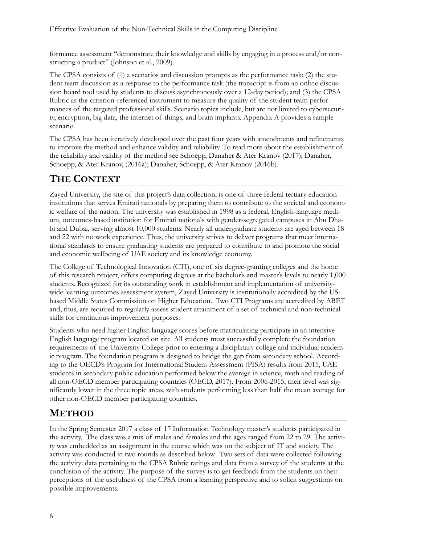formance assessment "demonstrate their knowledge and skills by engaging in a process and/or constructing a product" (Johnson et al., 2009).

The CPSA consists of (1) a scenarios and discussion prompts as the performance task; (2) the student team discussion as a response to the performance task (the transcript is from an online discussion board tool used by students to discuss asynchronously over a 12-day period); and (3) the CPSA Rubric as the criterion-referenced instrument to measure the quality of the student team performances of the targeted professional skills. Scenario topics include, but are not limited to cybersecurity, encryption, big data, the internet of things, and brain implants. Appendix A provides a sample scenario.

The CPSA has been iteratively developed over the past four years with amendments and refinements to improve the method and enhance validity and reliability. To read more about the establishment of the reliability and validity of the method see Schoepp, Danaher & Ater Kranov (2017); Danaher, Schoepp, & Ater Kranov, (2016a); Danaher, Schoepp, & Ater Kranov (2016b).

# **THE CONTEXT**

Zayed University, the site of this project's data collection, is one of three federal tertiary education institutions that serves Emirati nationals by preparing them to contribute to the societal and economic welfare of the nation. The university was established in 1998 as a federal, English-language medium, outcomes-based institution for Emirati nationals with gender-segregated campuses in Abu Dhabi and Dubai, serving almost 10,000 students. Nearly all undergraduate students are aged between 18 and 22 with no work experience. Thus, the university strives to deliver programs that meet international standards to ensure graduating students are prepared to contribute to and promote the social and economic wellbeing of UAE society and its knowledge economy.

The College of Technological Innovation (CTI), one of six degree-granting colleges and the home of this research project, offers computing degrees at the bachelor's and master's levels to nearly 1,000 students. Recognized for its outstanding work in establishment and implementation of universitywide learning outcomes assessment system, Zayed University is institutionally accredited by the USbased Middle States Commission on Higher Education. Two CTI Programs are accredited by ABET and, thus, are required to regularly assess student attainment of a set of technical and non-technical skills for continuous improvement purposes.

Students who need higher English language scores before matriculating participate in an intensive English language program located on site. All students must successfully complete the foundation requirements of the University College prior to entering a disciplinary college and individual academic program. The foundation program is designed to bridge the gap from secondary school. According to the OECD's Program for International Student Assessment (PISA) results from 2015, UAE students in secondary public education performed below the average in science, math and reading of all non-OECD member participating countries (OECD, 2017). From 2006-2015, their level was significantly lower in the three topic areas, with students performing less than half the mean average for other non-OECD member participating countries.

# **METHOD**

In the Spring Semester 2017 a class of 17 Information Technology master's students participated in the activity. The class was a mix of males and females and the ages ranged from 22 to 29. The activity was embedded as an assignment in the course which was on the subject of IT and society. The activity was conducted in two rounds as described below. Two sets of data were collected following the activity: data pertaining to the CPSA Rubric ratings and data from a survey of the students at the conclusion of the activity. The purpose of the survey is to get feedback from the students on their perceptions of the usefulness of the CPSA from a learning perspective and to solicit suggestions on possible improvements.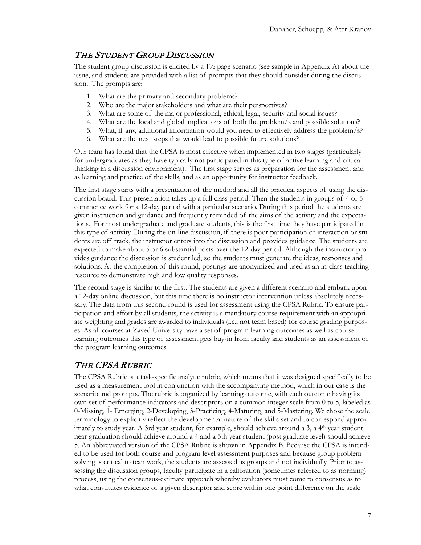### THE STUDENT GROUP DISCUSSION

The student group discussion is elicited by a 1½ page scenario (see sample in Appendix A) about the issue, and students are provided with a list of prompts that they should consider during the discussion.. The prompts are:

- 1. What are the primary and secondary problems?
- 2. Who are the major stakeholders and what are their perspectives?
- 3. What are some of the major professional, ethical, legal, security and social issues?
- 4. What are the local and global implications of both the problem/s and possible solutions?
- 5. What, if any, additional information would you need to effectively address the problem/s?
- 6. What are the next steps that would lead to possible future solutions?

Our team has found that the CPSA is most effective when implemented in two stages (particularly for undergraduates as they have typically not participated in this type of active learning and critical thinking in a discussion environment). The first stage serves as preparation for the assessment and as learning and practice of the skills, and as an opportunity for instructor feedback.

The first stage starts with a presentation of the method and all the practical aspects of using the discussion board. This presentation takes up a full class period. Then the students in groups of 4 or 5 commence work for a 12-day period with a particular scenario. During this period the students are given instruction and guidance and frequently reminded of the aims of the activity and the expectations. For most undergraduate and graduate students, this is the first time they have participated in this type of activity. During the on-line discussion, if there is poor participation or interaction or students are off track, the instructor enters into the discussion and provides guidance. The students are expected to make about 5 or 6 substantial posts over the 12-day period. Although the instructor provides guidance the discussion is student led, so the students must generate the ideas, responses and solutions. At the completion of this round, postings are anonymized and used as an in-class teaching resource to demonstrate high and low quality responses.

The second stage is similar to the first. The students are given a different scenario and embark upon a 12-day online discussion, but this time there is no instructor intervention unless absolutely necessary. The data from this second round is used for assessment using the CPSA Rubric. To ensure participation and effort by all students, the activity is a mandatory course requirement with an appropriate weighting and grades are awarded to individuals (i.e., not team based) for course grading purposes. As all courses at Zayed University have a set of program learning outcomes as well as course learning outcomes this type of assessment gets buy-in from faculty and students as an assessment of the program learning outcomes.

### THE CPSA RUBRIC

The CPSA Rubric is a task-specific analytic rubric, which means that it was designed specifically to be used as a measurement tool in conjunction with the accompanying method, which in our case is the scenario and prompts. The rubric is organized by learning outcome, with each outcome having its own set of performance indicators and descriptors on a common integer scale from 0 to 5, labeled as 0-Missing, 1- Emerging, 2-Developing, 3-Practicing, 4-Maturing, and 5-Mastering. We chose the scale terminology to explicitly reflect the developmental nature of the skills set and to correspond approximately to study year. A 3rd year student, for example, should achieve around a 3, a 4<sup>th</sup> year student near graduation should achieve around a 4 and a 5th year student (post graduate level) should achieve 5. An abbreviated version of the CPSA Rubric is shown in Appendix B. Because the CPSA is intended to be used for both course and program level assessment purposes and because group problem solving is critical to teamwork, the students are assessed as groups and not individually. Prior to assessing the discussion groups, faculty participate in a calibration (sometimes referred to as norming) process, using the consensus-estimate approach whereby evaluators must come to consensus as to what constitutes evidence of a given descriptor and score within one point difference on the scale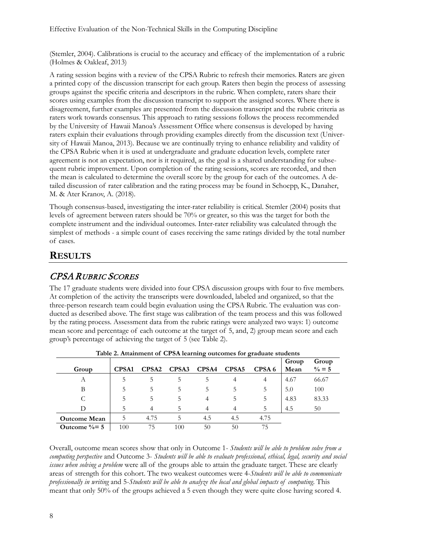(Stemler, 2004). Calibrations is crucial to the accuracy and efficacy of the implementation of a rubric (Holmes & Oakleaf, 2013)

A rating session begins with a review of the CPSA Rubric to refresh their memories. Raters are given a printed copy of the discussion transcript for each group. Raters then begin the process of assessing groups against the specific criteria and descriptors in the rubric. When complete, raters share their scores using examples from the discussion transcript to support the assigned scores. Where there is disagreement, further examples are presented from the discussion transcript and the rubric criteria as raters work towards consensus. This approach to rating sessions follows the process recommended by the University of Hawaii Manoa's Assessment Office where consensus is developed by having raters explain their evaluations through providing examples directly from the discussion text (University of Hawaii Manoa, 2013). Because we are continually trying to enhance reliability and validity of the CPSA Rubric when it is used at undergraduate and graduate education levels, complete rater agreement is not an expectation, nor is it required, as the goal is a shared understanding for subsequent rubric improvement. Upon completion of the rating sessions, scores are recorded, and then the mean is calculated to determine the overall score by the group for each of the outcomes. A detailed discussion of rater calibration and the rating process may be found in Schoepp, K., Danaher, M. & Ater Kranov, A. (2018).

Though consensus-based, investigating the inter-rater reliability is critical. Stemler (2004) posits that levels of agreement between raters should be 70% or greater, so this was the target for both the complete instrument and the individual outcomes. Inter-rater reliability was calculated through the simplest of methods - a simple count of cases receiving the same ratings divided by the total number of cases.

#### **RESULTS**

### CPSA RUBRIC SCORES

The 17 graduate students were divided into four CPSA discussion groups with four to five members. At completion of the activity the transcripts were downloaded, labeled and organized, so that the three-person research team could begin evaluation using the CPSA Rubric. The evaluation was conducted as described above. The first stage was calibration of the team process and this was followed by the rating process. Assessment data from the rubric ratings were analyzed two ways: 1) outcome mean score and percentage of each outcome at the target of 5, and, 2) group mean score and each group's percentage of achieving the target of 5 (see Table 2).

| Table 2. Attainment of CPSA learning outcomes for graduate students |              |              |                   |       |                   |                   |       |                   |
|---------------------------------------------------------------------|--------------|--------------|-------------------|-------|-------------------|-------------------|-------|-------------------|
|                                                                     |              |              |                   |       |                   |                   | Group | Group             |
| Group                                                               | <b>CPSA1</b> | <b>CPSA2</b> | CPSA <sub>3</sub> | CPSA4 | CPSA <sub>5</sub> | CPSA <sub>6</sub> | Mean  | $\frac{0}{6} = 5$ |
| A                                                                   |              | 5            | 5                 |       | 4                 | 4                 | 4.67  | 66.67             |
| В                                                                   |              | 5            | 5                 | 5     | C                 | 5                 | 5.0   | 100               |
|                                                                     | 5            | 5            | 5                 | 4     | 5                 |                   | 4.83  | 83.33             |
| D                                                                   |              | 4            | 5                 | 4     | 4                 | 5                 | 4.5   | 50                |
| <b>Outcome Mean</b>                                                 | 5            | 4.75         | 5                 | 4.5   | 4.5               | 4.75              |       |                   |
| Outcome $\% = 5$                                                    | 100          | 75           | 100               | 50    | 50                | 75                |       |                   |

**Table 2. Attainment of CPSA learning outcomes for graduate students**

Overall, outcome mean scores show that only in Outcome 1- *Students will be able to problem solve from a computing perspective* and Outcome 3- *Students will be able to evaluate professional, ethical, legal, security and social issues when solving a problem* were all of the groups able to attain the graduate target. These are clearly areas of strength for this cohort. The two weakest outcomes were 4-*Students will be able to communicate professionally in writing* and 5-*Students will be able to analyze the local and global impacts of computing*. This meant that only 50% of the groups achieved a 5 even though they were quite close having scored 4.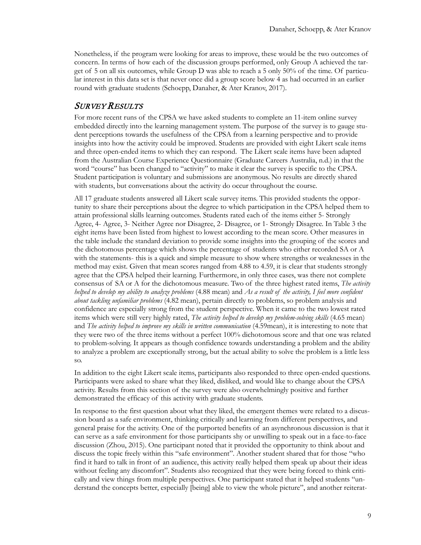Nonetheless, if the program were looking for areas to improve, these would be the two outcomes of concern. In terms of how each of the discussion groups performed, only Group A achieved the target of 5 on all six outcomes, while Group D was able to reach a 5 only 50% of the time. Of particular interest in this data set is that never once did a group score below 4 as had occurred in an earlier round with graduate students (Schoepp, Danaher, & Ater Kranov, 2017).

#### **SURVEY RESULTS**

For more recent runs of the CPSA we have asked students to complete an 11-item online survey embedded directly into the learning management system. The purpose of the survey is to gauge student perceptions towards the usefulness of the CPSA from a learning perspective and to provide insights into how the activity could be improved. Students are provided with eight Likert scale items and three open-ended items to which they can respond. The Likert scale items have been adapted from the Australian Course Experience Questionnaire (Graduate Careers Australia, n.d.) in that the word "course" has been changed to "activity" to make it clear the survey is specific to the CPSA. Student participation is voluntary and submissions are anonymous. No results are directly shared with students, but conversations about the activity do occur throughout the course.

All 17 graduate students answered all Likert scale survey items. This provided students the opportunity to share their perceptions about the degree to which participation in the CPSA helped them to attain professional skills learning outcomes. Students rated each of the items either 5- Strongly Agree, 4- Agree, 3- Neither Agree nor Disagree, 2- Disagree, or 1- Strongly Disagree. In Table 3 the eight items have been listed from highest to lowest according to the mean score. Other measures in the table include the standard deviation to provide some insights into the grouping of the scores and the dichotomous percentage which shows the percentage of students who either recorded SA or A with the statements- this is a quick and simple measure to show where strengths or weaknesses in the method may exist. Given that mean scores ranged from 4.88 to 4.59, it is clear that students strongly agree that the CPSA helped their learning. Furthermore, in only three cases, was there not complete consensus of SA or A for the dichotomous measure. Two of the three highest rated items, *The activity helped to develop my ability to analyze problems* (4.88 mean) and *As a result of the activity, I feel more confident about tackling unfamiliar problems* (4.82 mean), pertain directly to problems, so problem analysis and confidence are especially strong from the student perspective. When it came to the two lowest rated items which were still very highly rated, *The activity helped to develop my problem-solving skills* (4.65 mean) and *The activity helped to improve my skills in written communication* (4.59mean), it is interesting to note that they were two of the three items without a perfect 100% dichotomous score and that one was related to problem-solving. It appears as though confidence towards understanding a problem and the ability to analyze a problem are exceptionally strong, but the actual ability to solve the problem is a little less so.

In addition to the eight Likert scale items, participants also responded to three open-ended questions. Participants were asked to share what they liked, disliked, and would like to change about the CPSA activity. Results from this section of the survey were also overwhelmingly positive and further demonstrated the efficacy of this activity with graduate students.

In response to the first question about what they liked, the emergent themes were related to a discussion board as a safe environment, thinking critically and learning from different perspectives, and general praise for the activity. One of the purported benefits of an asynchronous discussion is that it can serve as a safe environment for those participants shy or unwilling to speak out in a face-to-face discussion (Zhou, 2015). One participant noted that it provided the opportunity to think about and discuss the topic freely within this "safe environment". Another student shared that for those "who find it hard to talk in front of an audience, this activity really helped them speak up about their ideas without feeling any discomfort". Students also recognized that they were being forced to think critically and view things from multiple perspectives. One participant stated that it helped students "understand the concepts better, especially [being] able to view the whole picture", and another reiterat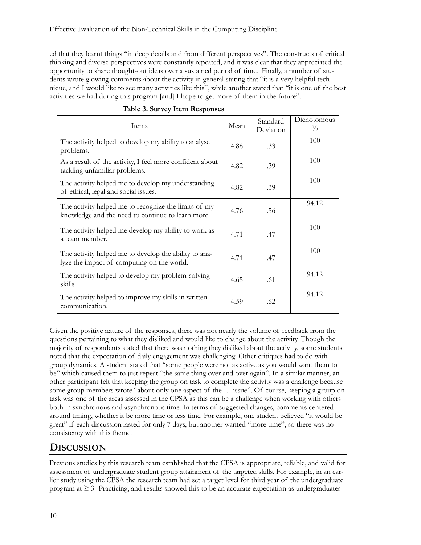ed that they learnt things "in deep details and from different perspectives". The constructs of critical thinking and diverse perspectives were constantly repeated, and it was clear that they appreciated the opportunity to share thought-out ideas over a sustained period of time. Finally, a number of students wrote glowing comments about the activity in general stating that "it is a very helpful technique, and I would like to see many activities like this", while another stated that "it is one of the best activities we had during this program [and] I hope to get more of them in the future".

| Items                                                                                                     | Mean | Standard<br>Deviation | Dichotomous<br>$\frac{0}{0}$ |
|-----------------------------------------------------------------------------------------------------------|------|-----------------------|------------------------------|
| The activity helped to develop my ability to analyse<br>problems.                                         | 4.88 | .33                   | 100                          |
| As a result of the activity, I feel more confident about<br>tackling unfamiliar problems.                 | 4.82 | .39                   | 100                          |
| The activity helped me to develop my understanding<br>of ethical, legal and social issues.                | 4.82 | .39                   | 100                          |
| The activity helped me to recognize the limits of my<br>knowledge and the need to continue to learn more. | 4.76 | .56                   | 94.12                        |
| The activity helped me develop my ability to work as<br>a team member.                                    | 4.71 | .47                   | 100                          |
| The activity helped me to develop the ability to ana-<br>lyze the impact of computing on the world.       | 4.71 | .47                   | 100                          |
| The activity helped to develop my problem-solving<br>skills.                                              | 4.65 | .61                   | 94.12                        |
| The activity helped to improve my skills in written<br>communication.                                     | 4.59 | .62                   | 94.12                        |

Given the positive nature of the responses, there was not nearly the volume of feedback from the questions pertaining to what they disliked and would like to change about the activity. Though the majority of respondents stated that there was nothing they disliked about the activity, some students noted that the expectation of daily engagement was challenging. Other critiques had to do with group dynamics. A student stated that "some people were not as active as you would want them to be" which caused them to just repeat "the same thing over and over again". In a similar manner, another participant felt that keeping the group on task to complete the activity was a challenge because some group members wrote "about only one aspect of the … issue". Of course, keeping a group on task was one of the areas assessed in the CPSA as this can be a challenge when working with others both in synchronous and asynchronous time. In terms of suggested changes, comments centered around timing, whether it be more time or less time. For example, one student believed "it would be great" if each discussion lasted for only 7 days, but another wanted "more time", so there was no consistency with this theme.

# **DISCUSSION**

Previous studies by this research team established that the CPSA is appropriate, reliable, and valid for assessment of undergraduate student group attainment of the targeted skills. For example, in an earlier study using the CPSA the research team had set a target level for third year of the undergraduate program at  $\geq$  3- Practicing, and results showed this to be an accurate expectation as undergraduates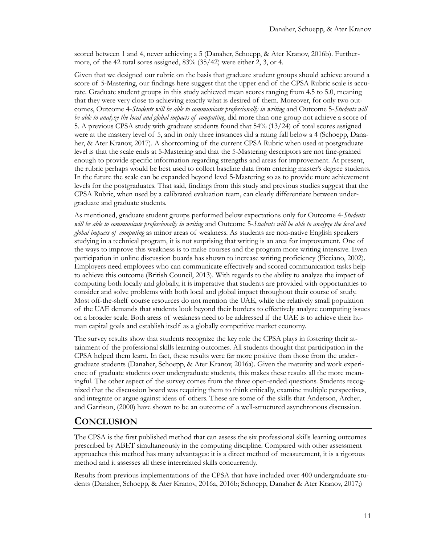scored between 1 and 4, never achieving a 5 (Danaher, Schoepp, & Ater Kranov, 2016b). Furthermore, of the 42 total sores assigned, 83% (35/42) were either 2, 3, or 4.

Given that we designed our rubric on the basis that graduate student groups should achieve around a score of 5-Mastering, our findings here suggest that the upper end of the CPSA Rubric scale is accurate. Graduate student groups in this study achieved mean scores ranging from 4.5 to 5.0, meaning that they were very close to achieving exactly what is desired of them. Moreover, for only two outcomes, Outcome 4-*Students will be able to communicate professionally in writing* and Outcome 5-*Students will be able to analyze the local and global impacts of computing*, did more than one group not achieve a score of 5. A previous CPSA study with graduate students found that 54% (13/24) of total scores assigned were at the mastery level of 5, and in only three instances did a rating fall below a 4 (Schoepp, Danaher, & Ater Kranov, 2017). A shortcoming of the current CPSA Rubric when used at postgraduate level is that the scale ends at 5-Mastering and that the 5-Mastering descriptors are not fine-grained enough to provide specific information regarding strengths and areas for improvement. At present, the rubric perhaps would be best used to collect baseline data from entering master's degree students. In the future the scale can be expanded beyond level 5-Mastering so as to provide more achievement levels for the postgraduates. That said, findings from this study and previous studies suggest that the CPSA Rubric, when used by a calibrated evaluation team, can clearly differentiate between undergraduate and graduate students.

As mentioned, graduate student groups performed below expectations only for Outcome 4-*Students will be able to communicate professionally in writing* and Outcome 5-*Students will be able to analyze the local and global impacts of computing* as minor areas of weakness. As students are non-native English speakers studying in a technical program, it is not surprising that writing is an area for improvement. One of the ways to improve this weakness is to make courses and the program more writing intensive. Even participation in online discussion boards has shown to increase writing proficiency (Picciano, 2002). Employers need employees who can communicate effectively and scored communication tasks help to achieve this outcome (British Council, 2013). With regards to the ability to analyze the impact of computing both locally and globally, it is imperative that students are provided with opportunities to consider and solve problems with both local and global impact throughout their course of study. Most off-the-shelf course resources do not mention the UAE, while the relatively small population of the UAE demands that students look beyond their borders to effectively analyze computing issues on a broader scale. Both areas of weakness need to be addressed if the UAE is to achieve their human capital goals and establish itself as a globally competitive market economy.

The survey results show that students recognize the key role the CPSA plays in fostering their attainment of the professional skills learning outcomes. All students thought that participation in the CPSA helped them learn. In fact, these results were far more positive than those from the undergraduate students (Danaher, Schoepp, & Ater Kranov, 2016a). Given the maturity and work experience of graduate students over undergraduate students, this makes these results all the more meaningful. The other aspect of the survey comes from the three open-ended questions. Students recognized that the discussion board was requiring them to think critically, examine multiple perspectives, and integrate or argue against ideas of others. These are some of the skills that Anderson, Archer, and Garrison, (2000) have shown to be an outcome of a well-structured asynchronous discussion.

#### **CONCLUSION**

The CPSA is the first published method that can assess the six professional skills learning outcomes prescribed by ABET simultaneously in the computing discipline. Compared with other assessment approaches this method has many advantages: it is a direct method of measurement, it is a rigorous method and it assesses all these interrelated skills concurrently.

Results from previous implementations of the CPSA that have included over 400 undergraduate students (Danaher, Schoepp, & Ater Kranov, 2016a, 2016b; Schoepp, Danaher & Ater Kranov, 2017;)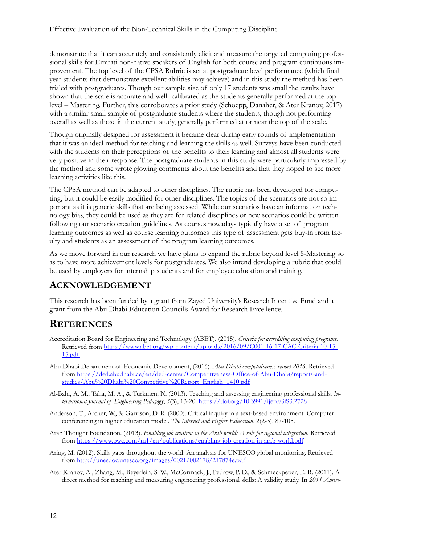demonstrate that it can accurately and consistently elicit and measure the targeted computing professional skills for Emirati non-native speakers of English for both course and program continuous improvement. The top level of the CPSA Rubric is set at postgraduate level performance (which final year students that demonstrate excellent abilities may achieve) and in this study the method has been trialed with postgraduates. Though our sample size of only 17 students was small the results have shown that the scale is accurate and well- calibrated as the students generally performed at the top level – Mastering. Further, this corroborates a prior study (Schoepp, Danaher, & Ater Kranov, 2017) with a similar small sample of postgraduate students where the students, though not performing overall as well as those in the current study, generally performed at or near the top of the scale.

Though originally designed for assessment it became clear during early rounds of implementation that it was an ideal method for teaching and learning the skills as well. Surveys have been conducted with the students on their perceptions of the benefits to their learning and almost all students were very positive in their response. The postgraduate students in this study were particularly impressed by the method and some wrote glowing comments about the benefits and that they hoped to see more learning activities like this.

The CPSA method can be adapted to other disciplines. The rubric has been developed for computing, but it could be easily modified for other disciplines. The topics of the scenarios are not so important as it is generic skills that are being assessed. While our scenarios have an information technology bias, they could be used as they are for related disciplines or new scenarios could be written following our scenario creation guidelines. As courses nowadays typically have a set of program learning outcomes as well as course learning outcomes this type of assessment gets buy-in from faculty and students as an assessment of the program learning outcomes.

As we move forward in our research we have plans to expand the rubric beyond level 5-Mastering so as to have more achievement levels for postgraduates. We also intend developing a rubric that could be used by employers for internship students and for employee education and training.

### **ACKNOWLEDGEMENT**

This research has been funded by a grant from Zayed University's Research Incentive Fund and a grant from the Abu Dhabi Education Council's Award for Research Excellence.

### **REFERENCES**

- Accreditation Board for Engineering and Technology (ABET), (2015). *Criteria for accrediting computing programs*. Retrieved from https://www.abet.org/wp-[content/uploads/2016/09/C001](https://www.abet.org/wp-content/uploads/2016/09/C001-16-17-CAC-Criteria-10-15-15.pdf)-16-17-CAC-Criteria-10-15- [15.pdf](https://www.abet.org/wp-content/uploads/2016/09/C001-16-17-CAC-Criteria-10-15-15.pdf)
- Abu Dhabi Department of Economic Development, (2016). *Abu Dhabi competitiveness report 2016*. Retrieved from [https://ded.abudhabi.ae/en/ded](https://ded.abudhabi.ae/en/ded-center/Competitiveness-Office-of-Abu-Dhabi/reports-and-studies/Abu%20Dhabi%20Competitive%20Report_English_1410.pdf)-center/Competitiveness-Office-of-Abu-Dhabi/reports-and[studies/Abu%20Dhabi%20Competitive%20Report\\_English\\_1410.pdf](https://ded.abudhabi.ae/en/ded-center/Competitiveness-Office-of-Abu-Dhabi/reports-and-studies/Abu%20Dhabi%20Competitive%20Report_English_1410.pdf)
- Al-Bahi, A. M., Taha, M. A., & Turkmen, N. (2013). Teaching and assessing engineering professional skills. *International Journal of Engineering Pedagogy*, *3*(3), 13-20. <https://doi.org/10.3991/ijep.v3iS3.2728>
- Anderson, T., Archer, W., & Garrison, D. R. (2000). Critical inquiry in a text-based environment: Computer conferencing in higher education model. *The Internet and Higher Education*, 2(2-3), 87-105.
- Arab Thought Foundation. (2013). *Enabling job creation in the Arab world: A role for regional integration*. Retrieved from [https://www.pwc.com/m1/en/publications/enabling](https://www.pwc.com/m1/en/publications/enabling-job-creation-in-arab-world.pdf)-job-creation-in-arab-world.pdf
- Aring, M. (2012). Skills gaps throughout the world: An analysis for UNESCO global monitoring. Retrieved from<http://unesdoc.unesco.org/images/0021/002178/217874e.pdf>
- Ater Kranov, A., Zhang, M., Beyerlein, S. W., McCormack, J., Pedrow, P. D., & Schmeckpeper, E. R. (2011). A direct method for teaching and measuring engineering professional skills: A validity study. In *2011 Ameri-*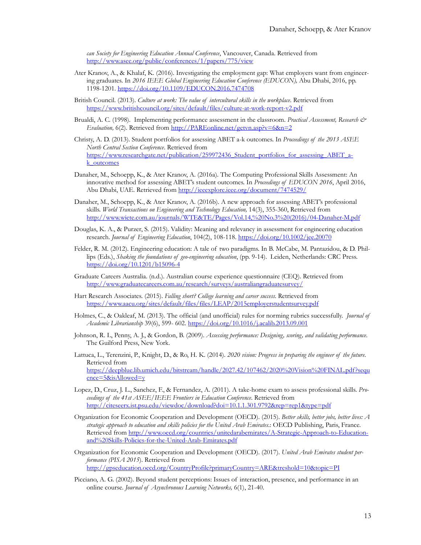*can Society for Engineering Education Annual Conference*, Vancouver, Canada. Retrieved from <http://www.asee.org/public/conferences/1/papers/775/view>

- Ater Kranov, A., & Khalaf, K. (2016). Investigating the employment gap: What employers want from engineering graduates. In *2016 IEEE Global Engineering Education Conference (EDUCON),* Abu Dhabi, 2016, pp. 1198-1201. <https://doi.org/10.1109/EDUCON.2016.7474708>
- British Council. (2013). *Culture at work: The value of intercultural skills in the workplace*. Retrieved from [https://www.britishcouncil.org/sites/default/files/culture](https://www.britishcouncil.org/sites/default/files/culture-at-work-report-v2.pdf)-at-work-report-v2.pdf
- Brualdi, A. C. (1998). Implementing performance assessment in the classroom. *Practical Assessment, Research & Evaluation,* 6(2). Retrieved from [http://PAREonline.net/getvn.asp?v=6&n=2](http://pareonline.net/getvn.asp?v=6&n=2)
- Christy, A. D. (2013). Student portfolios for assessing ABET a-k outcomes. In *Proceedings of the 2013 ASEE North Central Section Conference*. Retrieved from [https://www.researchgate.net/publication/259972436\\_Student\\_portfolios\\_for\\_assessing\\_ABET\\_a](https://www.researchgate.net/publication/259972436_Student_portfolios_for_assessing_ABET_a-k_outcomes)[k\\_outcomes](https://www.researchgate.net/publication/259972436_Student_portfolios_for_assessing_ABET_a-k_outcomes)
- Danaher, M., Schoepp, K., & Ater Kranov, A. (2016a). The Computing Professional Skills Assessment: An innovative method for assessing ABET's student outcomes. In *Proceedings of EDUCON 2016*, April 2016, Abu Dhabi, UAE. Retrieved from <http://ieeexplore.ieee.org/document/7474529/>
- Danaher, M., Schoepp, K., & Ater Kranov, A. (2016b). A new approach for assessing ABET's professional skills. *World Transactions on Engineering and Technology Education*, 14(3), 355-360, Retrieved from [http://www.wiete.com.au/journals/WTE&TE/Pages/Vol.14,%20No.3%20\(2016\)/04](http://www.wiete.com.au/journals/WTE&TE/Pages/Vol.14,%20No.3%20(2016)/04-Danaher-M.pdf)-Danaher-M.pdf
- Douglas, K. A., & Purzer, S. (2015). Validity: Meaning and relevancy in assessment for engineering education research. *Journal of Engineering Education*, 104(2), 108-118. <https://doi.org/10.1002/jee.20070>
- Felder, R. M. (2012). Engineering education: A tale of two paradigms. In B. McCabe, M. Pantazidou, & D. Phillips (Eds.), *Shaking the foundations of geo-engineering education*, (pp. 9-14). Leiden, Netherlands: CRC Press. [https://doi.org/10.1201/b15096](https://doi.org/10.1201/b15096-4)-4
- Graduate Careers Australia. (n.d.). Australian course experience questionnaire (CEQ). Retrieved from <http://www.graduatecareers.com.au/research/surveys/australiangraduatesurvey/>
- Hart Research Associates. (2015). *Falling short? College learning and career success*. Retrieved from <https://www.aacu.org/sites/default/files/files/LEAP/2015employerstudentsurvey.pdf>
- Holmes, C., & Oakleaf, M. (2013). The official (and unofficial) rules for norming rubrics successfully. *Journal of Academic Librarianship* 39(6), 599- 602. <https://doi.org/10.1016/j.acalib.2013.09.001>
- Johnson, R. L, Penny, A. J., & Gordon, B. (2009). *Assessing performance: Designing, scoring, and validating performance*. The Guilford Press, New York.
- Lattuca, L., Terenzini, P., Knight, D., & Ro, H. K. (2014). *2020 vision: Progress in preparing the engineer of the future*. Retrieved from [https://deepblue.lib.umich.edu/bitstream/handle/2027.42/107462/2020%20Vision%20FINAL.pdf?sequ](https://deepblue.lib.umich.edu/bitstream/handle/2027.42/107462/2020%20Vision%20FINAL.pdf?sequence=5&isAllowed=y) e[nce=5&isAllowed=y](https://deepblue.lib.umich.edu/bitstream/handle/2027.42/107462/2020%20Vision%20FINAL.pdf?sequence=5&isAllowed=y)
- Lopez, D., Cruz, J. L., Sanchez, F., & Fernandez, A. (2011). A take-home exam to assess professional skills. *Proceedings of the 41st ASEE/IEEE Frontiers in Education Conference*. Retrieved from <http://citeseerx.ist.psu.edu/viewdoc/download?doi=10.1.1.301.9792&rep=rep1&type=pdf>
- Organization for Economic Cooperation and Development (OECD). (2015). *Better skills, better jobs, better lives: A strategic approach to education and skills policies for the United Arab Emirates*.: OECD Publishing, Paris, France. Retrieved from [http://www.oecd.org/countries/unitedarabemirates/A](http://www.oecd.org/countries/unitedarabemirates/A-Strategic-Approach-to-Education-and%20Skills-Policies-for-the-United-Arab-Emirates.pdf)-Strategic-Approach-to-Education[and%20Skills](http://www.oecd.org/countries/unitedarabemirates/A-Strategic-Approach-to-Education-and%20Skills-Policies-for-the-United-Arab-Emirates.pdf)-Policies-for-the-United-Arab-Emirates.pdf
- Organization for Economic Cooperation and Development (OECD). (2017). *United Arab Emirates student performance (PISA 2015*). Retrieved from <http://gpseducation.oecd.org/CountryProfile?primaryCountry=ARE&treshold=10&topic=PI>
- Picciano, A. G. (2002). Beyond student perceptions: Issues of interaction, presence, and performance in an online course. *Journal of Asynchronous Learning Networks,* 6(1), 21-40.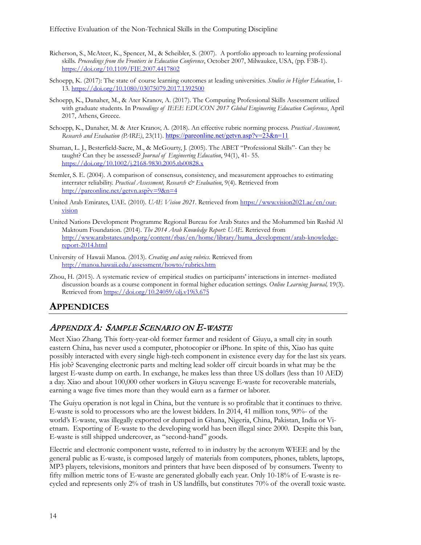Effective Evaluation of the Non-Technical Skills in the Computing Discipline

- Richerson, S., McAteer, K., Spencer, M., & Scheibler, S. (2007). A portfolio approach to learning professional skills. *Proceedings from the Frontiers in Education Conference*, October 2007, Milwaukee, USA, (pp. F3B-1). <https://doi.org/10.1109/FIE.2007.4417802>
- Schoepp, K. (2017): The state of course learning outcomes at leading universities. *Studies in Higher Education*, 1- 13. <https://doi.org/10.1080/03075079.2017.1392500>
- Schoepp, K., Danaher, M., & Ater Kranov, A. (2017). The Computing Professional Skills Assessment utilized with graduate students. In P*roceedings of IEEE EDUCON 2017 Global Engineering Education Conference*, April 2017, Athens, Greece.
- Schoepp, K., Danaher, M. & Ater Kranov, A. (2018). An effective rubric norming process. *Practical Assessment, Research and Evaluation (PARE)*, 23(11). <https://pareonline.net/getvn.asp?v=23&n=11>
- Shuman, L. J., Besterfield-Sacre, M., & McGourty, J. (2005). The ABET "Professional Skills"- Can they be taught? Can they be assessed? *Journal of Engineering Education*, 94(1), 41- 55. [https://doi.org/10.1002/j.2168](https://doi.org/10.1002/j.2168-9830.2005.tb00828.x)-9830.2005.tb00828.x
- Stemler, S. E. (2004). A comparison of consensus, consistency, and measurement approaches to estimating interrater reliability. *Practical Assessment, Research & Evaluation*, 9(4). Retrieved from <http://pareonline.net/getvn.asp?v=9&n=4>
- United Arab Emirates, UAE. (2010). *UAE Vision 2021*. Retrieved from [https://www.vision2021.ae/en/our](https://www.vision2021.ae/en/our-vision)[vision](https://www.vision2021.ae/en/our-vision)
- United Nations Development Programme Regional Bureau for Arab States and the Mohammed bin Rashid Al Maktoum Foundation. (2014). *The 2014 Arab Knowledge Report: UAE.* Retrieved from [http://www.arabstates.undp.org/content/rbas/en/home/library/huma\\_development/arab](http://www.arabstates.undp.org/content/rbas/en/home/library/huma_development/arab-knowledge-report-2014.html)-knowledgereport-[2014.html](http://www.arabstates.undp.org/content/rbas/en/home/library/huma_development/arab-knowledge-report-2014.html)
- University of Hawaii Manoa. (2013). *Creating and using rubrics*. Retrieved from <http://manoa.hawaii.edu/assessment/howto/rubrics.htm>
- Zhou, H. (2015). A systematic review of empirical studies on participants' interactions in internet- mediated discussion boards as a course component in formal higher education settings. *Online Learning Journal,* 19(3). Retrieved from <https://doi.org/10.24059/olj.v19i3.675>

### **APPENDICES**

#### APPENDIX A: SAMPLE SCENARIO ON E-WASTE

Meet Xiao Zhang. This forty-year-old former farmer and resident of Giuyu, a small city in south eastern China, has never used a computer, photocopier or iPhone. In spite of this, Xiao has quite possibly interacted with every single high-tech component in existence every day for the last six years. His job? Scavenging electronic parts and melting lead solder off circuit boards in what may be the largest E-waste dump on earth. In exchange, he makes less than three US dollars (less than 10 AED) a day. Xiao and about 100,000 other workers in Giuyu scavenge E-waste for recoverable materials, earning a wage five times more than they would earn as a farmer or laborer.

The Guiyu operation is not legal in China, but the venture is so profitable that it continues to thrive. E-waste is sold to processors who are the lowest bidders. In 2014, 41 million tons, 90%- of the world's E-waste, was illegally exported or dumped in Ghana, Nigeria, China, Pakistan, India or Vietnam. Exporting of E-waste to the developing world has been illegal since 2000. Despite this ban, E-waste is still shipped undercover, as "second-hand" goods.

Electric and electronic component waste, referred to in industry by the acronym WEEE and by the general public as E-waste, is composed largely of materials from computers, phones, tablets, laptops, MP3 players, televisions, monitors and printers that have been disposed of by consumers. Twenty to fifty million metric tons of E-waste are generated globally each year. Only 10-18% of E-waste is recycled and represents only 2% of trash in US landfills, but constitutes 70% of the overall toxic waste.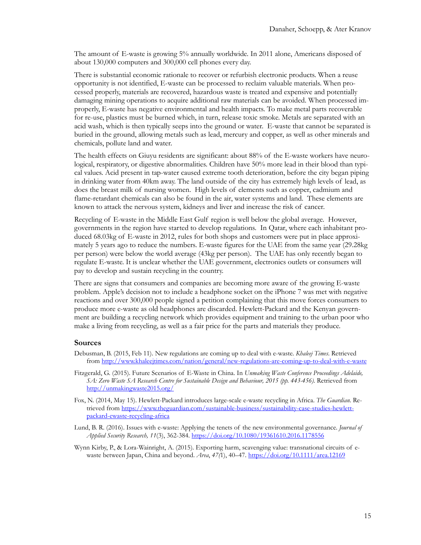The amount of E-waste is growing 5% annually worldwide. In 2011 alone, Americans disposed of about 130,000 computers and 300,000 cell phones every day.

There is substantial economic rationale to recover or refurbish electronic products. When a reuse opportunity is not identified, E-waste can be processed to reclaim valuable materials. When processed properly, materials are recovered, hazardous waste is treated and expensive and potentially damaging mining operations to acquire additional raw materials can be avoided. When processed improperly, E-waste has negative environmental and health impacts. To make metal parts recoverable for re-use, plastics must be burned which, in turn, release toxic smoke. Metals are separated with an acid wash, which is then typically seeps into the ground or water. E-waste that cannot be separated is buried in the ground, allowing metals such as lead, mercury and copper, as well as other minerals and chemicals, pollute land and water.

The health effects on Giuyu residents are significant: about 88% of the E-waste workers have neurological, respiratory, or digestive abnormalities. Children have 50% more lead in their blood than typical values. Acid present in tap-water caused extreme tooth deterioration, before the city began piping in drinking water from 40km away. The land outside of the city has extremely high levels of lead, as does the breast milk of nursing women. High levels of elements such as copper, cadmium and flame-retardant chemicals can also be found in the air, water systems and land. These elements are known to attack the nervous system, kidneys and liver and increase the risk of cancer.

Recycling of E-waste in the Middle East Gulf region is well below the global average. However, governments in the region have started to develop regulations. In Qatar, where each inhabitant produced 68.03kg of E-waste in 2012, rules for both shops and customers were put in place approximately 5 years ago to reduce the numbers. E-waste figures for the UAE from the same year (29.28kg per person) were below the world average (43kg per person). The UAE has only recently began to regulate E-waste. It is unclear whether the UAE government, electronics outlets or consumers will pay to develop and sustain recycling in the country.

There are signs that consumers and companies are becoming more aware of the growing E-waste problem. Apple's decision not to include a headphone socket on the iPhone 7 was met with negative reactions and over 300,000 people signed a petition complaining that this move forces consumers to produce more e-waste as old headphones are discarded. Hewlett-Packard and the Kenyan government are building a recycling network which provides equipment and training to the urban poor who make a living from recycling, as well as a fair price for the parts and materials they produce.

#### **Sources**

- Debusman, B. (2015, Feb 11). New regulations are coming up to deal with e-waste. *Khaleej Times*. Retrieved from [http://www.khaleejtimes.com/nation/general/new](http://www.khaleejtimes.com/nation/general/new-regulations-are-coming-up-to-deal-with-e-waste)-regulations-are-coming-up-to-deal-with-e-waste
- Fitzgerald, G. (2015). Future Scenarios of E-Waste in China. In *Unmaking Waste Conference Proceedings Adelaide, SA: Zero Waste SA Research Centre for Sustainable Design and Behaviour, 2015 (pp. 443-456).* Retrieved from <http://unmakingwaste2015.org/>
- Fox, N. (2014, May 15). Hewlett-Packard introduces large-scale e-waste recycling in Africa. *The Guardian*. Retrieved fro[m https://www.theguardian.com/sustainable](https://www.theguardian.com/sustainable-business/sustainability-case-studies-hewlett-packard-ewaste-recycling-africa)-business/sustainability-case-studies-hewlettpackard-ewaste[-recycling-africa](https://www.theguardian.com/sustainable-business/sustainability-case-studies-hewlett-packard-ewaste-recycling-africa)
- Lund, B. R. (2016). Issues with e-waste: Applying the tenets of the new environmental governance. *Journal of Applied Security Research, 11*(3), 362-384[. https://doi.org/10.1080/19361610.2016.1178556](https://doi.org/10.1080/19361610.2016.1178556)
- Wynn Kirby, P., & Lora-Wainright, A. (2015). Exporting harm, scavenging value: transnational circuits of ewaste between Japan, China and beyond. *Area*, *47(*1), 40–47.<https://doi.org/10.1111/area.12169>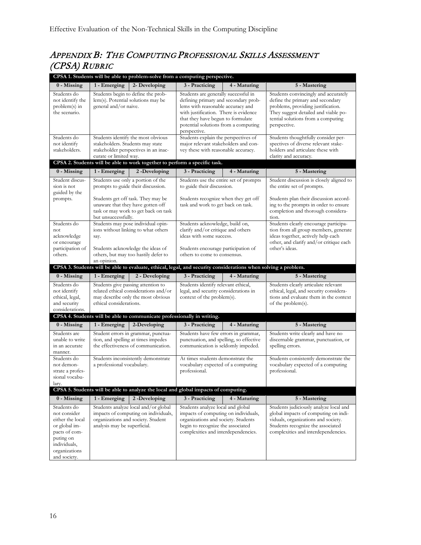# APPENDIX B: THE COMPUTING PROFESSIONAL SKILLS ASSESSMENT (CPSA) RUBRIC

| CPSA 1. Students will be able to problem-solve from a computing perspective.                                                                    |                                                                                                                                                                                                      |                                                                                                                |                                                                                                                                                                                                                                                         |              |                                                                                                                                                                                                              |  |  |
|-------------------------------------------------------------------------------------------------------------------------------------------------|------------------------------------------------------------------------------------------------------------------------------------------------------------------------------------------------------|----------------------------------------------------------------------------------------------------------------|---------------------------------------------------------------------------------------------------------------------------------------------------------------------------------------------------------------------------------------------------------|--------------|--------------------------------------------------------------------------------------------------------------------------------------------------------------------------------------------------------------|--|--|
| 0 - Missing                                                                                                                                     | 1 - Emerging                                                                                                                                                                                         | 2- Developing                                                                                                  | 3 - Practicing                                                                                                                                                                                                                                          | 4 - Maturing | 5 - Mastering                                                                                                                                                                                                |  |  |
| Students do<br>not identify the<br>problem(s) in<br>the scenario.                                                                               | Students begin to define the prob-<br>lem(s). Potential solutions may be<br>general and/or naive.                                                                                                    |                                                                                                                | Students are generally successful in<br>defining primary and secondary prob-<br>lems with reasonable accuracy and<br>with justification. There is evidence<br>that they have begun to formulate<br>potential solutions from a computing<br>perspective. |              | Students convincingly and accurately<br>define the primary and secondary<br>problems, providing justification.<br>They suggest detailed and viable po-<br>tential solutions from a computing<br>perspective. |  |  |
| Students do<br>not identify<br>stakeholders.                                                                                                    | stakeholders. Students may state<br>curate or limited way.                                                                                                                                           | Students identify the most obvious<br>stakeholder perspectives in an inac-                                     | Students explain the perspectives of<br>major relevant stakeholders and con-<br>vey these with reasonable accuracy.                                                                                                                                     |              | Students thoughtfully consider per-<br>spectives of diverse relevant stake-<br>holders and articulate these with<br>clarity and accuracy.                                                                    |  |  |
|                                                                                                                                                 |                                                                                                                                                                                                      | CPSA 2. Students will be able to work together to perform a specific task.                                     |                                                                                                                                                                                                                                                         |              |                                                                                                                                                                                                              |  |  |
| 0 - Missing                                                                                                                                     | 1 - Emerging                                                                                                                                                                                         | 2-Developing                                                                                                   | 3 - Practicing                                                                                                                                                                                                                                          | 4 - Maturing | 5 - Mastering                                                                                                                                                                                                |  |  |
| Student discus-<br>sion is not<br>guided by the<br>prompts.                                                                                     | Students use only a portion of the<br>prompts to guide their discussion.<br>Students get off task. They may be<br>unaware that they have gotten off<br>task or may work to get back on task          |                                                                                                                | Students use the entire set of prompts<br>to guide their discussion.<br>Students recognize when they get off<br>task and work to get back on task.                                                                                                      |              | Student discussion is closely aligned to<br>the entire set of prompts.<br>Students plan their discussion accord-<br>ing to the prompts in order to ensure<br>completion and thorough considera-              |  |  |
| Students do<br>not<br>acknowledge<br>or encourage<br>participation of<br>others.                                                                | but unsuccessfully.<br>Students may pose individual opin-<br>ions without linking to what others<br>say.<br>Students acknowledge the ideas of<br>others, but may too hastily defer to<br>an opinion. |                                                                                                                | Students acknowledge, build on,<br>clarify and/or critique and others<br>ideas with some success.<br>Students encourage participation of<br>others to come to consensus.                                                                                |              | tion.<br>Students clearly encourage participa-<br>tion from all group members, generate<br>ideas together, actively help each<br>other, and clarify and/or critique each<br>other's ideas.                   |  |  |
|                                                                                                                                                 |                                                                                                                                                                                                      | CPSA 3. Students will be able to evaluate, ethical, legal, and security considerations when solving a problem. |                                                                                                                                                                                                                                                         |              |                                                                                                                                                                                                              |  |  |
| 0 - Missing                                                                                                                                     | 1 - Emerging                                                                                                                                                                                         | 2 - Developing                                                                                                 | 3 - Practicing                                                                                                                                                                                                                                          | 4 - Maturing | 5 - Mastering                                                                                                                                                                                                |  |  |
| Students do<br>not identify<br>ethical, legal,<br>and security<br>considerations.                                                               | Students give passing attention to<br>related ethical considerations and/or<br>may describe only the most obvious<br>ethical considerations.                                                         |                                                                                                                | Students identify relevant ethical,<br>legal, and security considerations in<br>context of the problem(s).                                                                                                                                              |              | Students clearly articulate relevant<br>ethical, legal, and security considera-<br>tions and evaluate them in the context<br>of the problem(s).                                                              |  |  |
|                                                                                                                                                 |                                                                                                                                                                                                      | CPSA 4. Students will be able to communicate professionally in writing.                                        |                                                                                                                                                                                                                                                         |              |                                                                                                                                                                                                              |  |  |
| 0 - Missing                                                                                                                                     | 1 - Emerging                                                                                                                                                                                         | 2-Developing                                                                                                   | 3 - Practicing                                                                                                                                                                                                                                          | 4 - Maturing | 5 - Mastering                                                                                                                                                                                                |  |  |
| Students are<br>unable to write<br>in an accurate<br>manner.                                                                                    | Student errors in grammar, punctua-<br>tion, and spelling at times impedes<br>the effectiveness of communication.                                                                                    |                                                                                                                | Students have few errors in grammar,<br>punctuation, and spelling, so effective<br>communication is seldomly impeded.                                                                                                                                   |              | Students write clearly and have no<br>discernable grammar, punctuation, or<br>spelling errors.                                                                                                               |  |  |
| Students do<br>not demon-<br>strate a profes-<br>sional vocabu-<br>lary.                                                                        | Students inconsistently demonstrate<br>a professional vocabulary.                                                                                                                                    |                                                                                                                | At times students demonstrate the<br>vocabulary expected of a computing<br>professional.                                                                                                                                                                |              | Students consistently demonstrate the<br>vocabulary expected of a computing<br>professional.                                                                                                                 |  |  |
|                                                                                                                                                 |                                                                                                                                                                                                      | CPSA 5. Students will be able to analyze the local and global impacts of computing.                            |                                                                                                                                                                                                                                                         |              |                                                                                                                                                                                                              |  |  |
| 0 - Missing                                                                                                                                     | 1 - Emerging                                                                                                                                                                                         | 2-Developing                                                                                                   | 3 - Practicing                                                                                                                                                                                                                                          | 4 - Maturing | 5 - Mastering                                                                                                                                                                                                |  |  |
| Students do<br>not consider<br>either the local<br>or global im-<br>pacts of com-<br>puting on<br>individuals,<br>organizations<br>and society. | Students analyze local and/or global<br>impacts of computing on individuals,<br>organizations and society. Student<br>analysis may be superficial.                                                   |                                                                                                                | Students analyze local and global<br>impacts of computing on individuals,<br>organizations and society. Students<br>begin to recognize the associated<br>complexities and interdependencies.                                                            |              | Students judiciously analyze local and<br>global impacts of computing on indi-<br>viduals, organizations and society.<br>Students recognize the associated<br>complexities and interdependencies.            |  |  |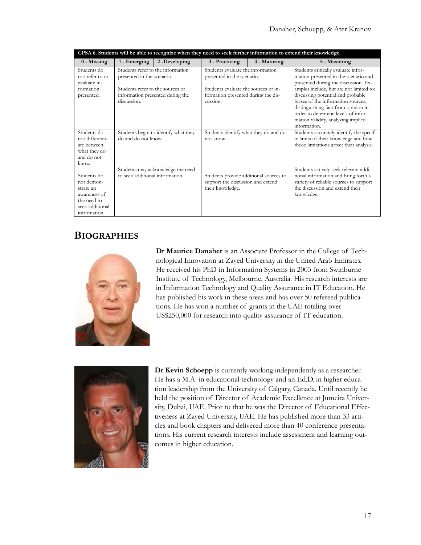| CPSA 6. Students will be able to recognize when they need to seek further information to extend their knowledge. |                                                                                                                                                        |                                      |                                                                                                                                                            |              |                                                                                                                                                                                                                                                                                                                                                                               |  |  |
|------------------------------------------------------------------------------------------------------------------|--------------------------------------------------------------------------------------------------------------------------------------------------------|--------------------------------------|------------------------------------------------------------------------------------------------------------------------------------------------------------|--------------|-------------------------------------------------------------------------------------------------------------------------------------------------------------------------------------------------------------------------------------------------------------------------------------------------------------------------------------------------------------------------------|--|--|
| 0 - Missing                                                                                                      | 1 - Emerging                                                                                                                                           | 2-Developing                         | 3 - Practicing                                                                                                                                             | 4 - Maturing | 5 - Mastering                                                                                                                                                                                                                                                                                                                                                                 |  |  |
| Students do<br>not refer to or<br>evaluate in-<br>formation<br>presented.                                        | Students refer to the information<br>presented in the scenario.<br>Students refer to the sources of<br>information presented during the<br>discussion. |                                      | Students evaluate the information<br>presented in the scenario.<br>Students evaluate the sources of in-<br>formation presented during the dis-<br>cussion. |              | Students critically evaluate infor-<br>mation presented in the scenario and<br>presented during the discussion. Ex-<br>amples include, but are not limited to:<br>discussing potential and probable<br>biases of the information sources,<br>distinguishing fact from opinion in<br>order to determine levels of infor-<br>mation validity, analyzing implied<br>information. |  |  |
| Students do<br>not differenti-<br>ate between<br>what they do<br>and do not<br>know.                             | do and do not know.                                                                                                                                    | Students begin to identify what they | Students identify what they do and do<br>not know.                                                                                                         |              | Students accurately identify the specif-<br>ic limits of their knowledge and how<br>those limitations affect their analysis.                                                                                                                                                                                                                                                  |  |  |
| Students do<br>not demon-<br>strate an<br>awareness of<br>the need to<br>seek additional<br>information.         | to seek additional information.                                                                                                                        | Students may acknowledge the need    | Students provide additional sources to<br>support the discussion and extend<br>their knowledge.                                                            |              | Students actively seek relevant addi-<br>tional information and bring forth a<br>variety of reliable sources to support<br>the discussion and extend their<br>knowledge.                                                                                                                                                                                                      |  |  |

# **BIOGRAPHIES**



**Dr Maurice Danaher** is an Associate Professor in the College of Technological Innovation at Zayed University in the United Arab Emirates. He received his PhD in Information Systems in 2003 from Swinburne Institute of Technology, Melbourne, Australia. His research interests are in Information Technology and Quality Assurance in IT Education. He has published his work in these areas and has over 50 refereed publications. He has won a number of grants in the UAE totaling over US\$250,000 for research into quality assurance of IT education.



**Dr Kevin Schoepp** is currently working independently as a researcher. He has a M.A. in educational technology and an Ed.D. in higher education leadership from the University of Calgary, Canada. Until recently he held the position of Director of Academic Excellence at Jumeira University, Dubai, UAE. Prior to that he was the Director of Educational Effectiveness at Zayed University, UAE. He has published more than 33 articles and book chapters and delivered more than 40 conference presentations. His current research interests include assessment and learning outcomes in higher education.